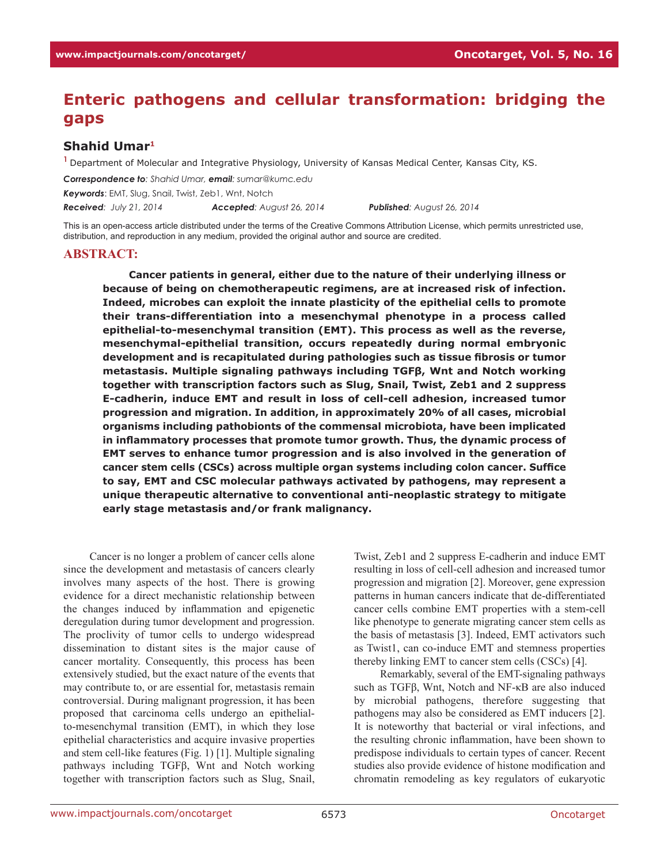## **Enteric pathogens and cellular transformation: bridging the gaps**

## **Shahid Umar1**

**<sup>1</sup>**Department of Molecular and Integrative Physiology, University of Kansas Medical Center, Kansas City, KS.

*Correspondence to: Shahid Umar, email: sumar@kumc.edu*

*Keywords*: EMT, Slug, Snail, Twist, Zeb1, Wnt, Notch

*Received: July 21, 2014 Accepted: August 26, 2014 Published: August 26, 2014*

This is an open-access article distributed under the terms of the Creative Commons Attribution License, which permits unrestricted use, distribution, and reproduction in any medium, provided the original author and source are credited.

## **ABSTRACT:**

**Cancer patients in general, either due to the nature of their underlying illness or because of being on chemotherapeutic regimens, are at increased risk of infection. Indeed, microbes can exploit the innate plasticity of the epithelial cells to promote their trans-differentiation into a mesenchymal phenotype in a process called epithelial-to-mesenchymal transition (EMT). This process as well as the reverse, mesenchymal-epithelial transition, occurs repeatedly during normal embryonic development and is recapitulated during pathologies such as tissue fibrosis or tumor metastasis. Multiple signaling pathways including TGFβ, Wnt and Notch working together with transcription factors such as Slug, Snail, Twist, Zeb1 and 2 suppress E-cadherin, induce EMT and result in loss of cell-cell adhesion, increased tumor progression and migration. In addition, in approximately 20% of all cases, microbial organisms including pathobionts of the commensal microbiota, have been implicated in inflammatory processes that promote tumor growth. Thus, the dynamic process of EMT serves to enhance tumor progression and is also involved in the generation of cancer stem cells (CSCs) across multiple organ systems including colon cancer. Suffice to say, EMT and CSC molecular pathways activated by pathogens, may represent a unique therapeutic alternative to conventional anti-neoplastic strategy to mitigate early stage metastasis and/or frank malignancy.** 

Cancer is no longer a problem of cancer cells alone since the development and metastasis of cancers clearly involves many aspects of the host. There is growing evidence for a direct mechanistic relationship between the changes induced by inflammation and epigenetic deregulation during tumor development and progression. The proclivity of tumor cells to undergo widespread dissemination to distant sites is the major cause of cancer mortality. Consequently, this process has been extensively studied, but the exact nature of the events that may contribute to, or are essential for, metastasis remain controversial. During malignant progression, it has been proposed that carcinoma cells undergo an epithelialto-mesenchymal transition (EMT), in which they lose epithelial characteristics and acquire invasive properties and stem cell-like features (Fig. 1) [1]. Multiple signaling pathways including TGFβ, Wnt and Notch working together with transcription factors such as Slug, Snail,

Twist, Zeb1 and 2 suppress E-cadherin and induce EMT resulting in loss of cell-cell adhesion and increased tumor progression and migration [2]. Moreover, gene expression patterns in human cancers indicate that de-differentiated cancer cells combine EMT properties with a stem-cell like phenotype to generate migrating cancer stem cells as the basis of metastasis [3]. Indeed, EMT activators such as Twist1, can co-induce EMT and stemness properties thereby linking EMT to cancer stem cells (CSCs) [4].

Remarkably, several of the EMT-signaling pathways such as TGFβ, Wnt, Notch and NF-κB are also induced by microbial pathogens, therefore suggesting that pathogens may also be considered as EMT inducers [2]. It is noteworthy that bacterial or viral infections, and the resulting chronic inflammation, have been shown to predispose individuals to certain types of cancer. Recent studies also provide evidence of histone modification and chromatin remodeling as key regulators of eukaryotic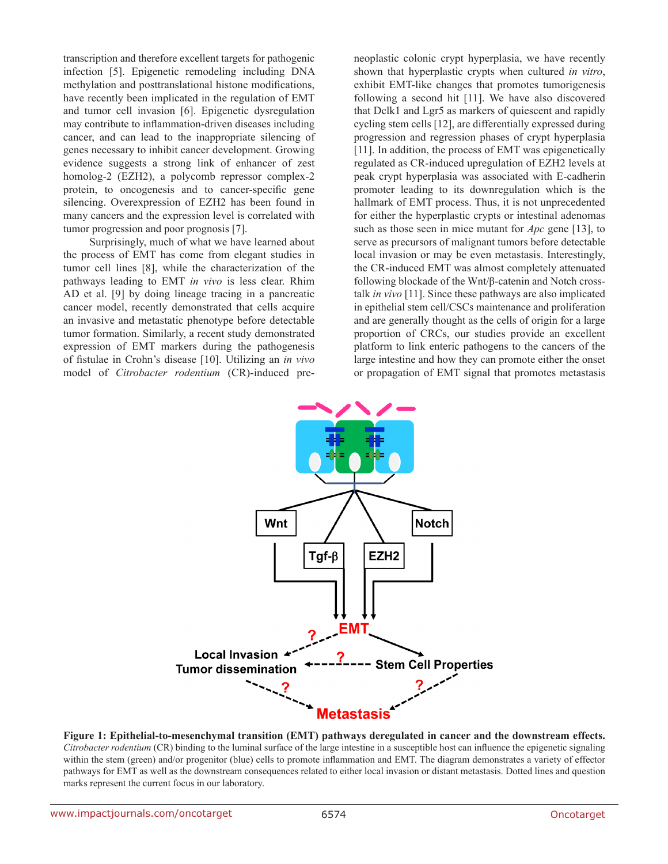transcription and therefore excellent targets for pathogenic infection [5]. Epigenetic remodeling including DNA methylation and posttranslational histone modifications, have recently been implicated in the regulation of EMT and tumor cell invasion [6]. Epigenetic dysregulation may contribute to inflammation-driven diseases including cancer, and can lead to the inappropriate silencing of genes necessary to inhibit cancer development. Growing evidence suggests a strong link of enhancer of zest homolog-2 (EZH2), a polycomb repressor complex-2 protein, to oncogenesis and to cancer-specific gene silencing. Overexpression of EZH2 has been found in many cancers and the expression level is correlated with tumor progression and poor prognosis [7].

Surprisingly, much of what we have learned about the process of EMT has come from elegant studies in tumor cell lines [8], while the characterization of the pathways leading to EMT *in vivo* is less clear. Rhim AD et al. [9] by doing lineage tracing in a pancreatic cancer model, recently demonstrated that cells acquire an invasive and metastatic phenotype before detectable tumor formation. Similarly, a recent study demonstrated expression of EMT markers during the pathogenesis of fistulae in Crohn's disease [10]. Utilizing an *in vivo* model of *Citrobacter rodentium* (CR)-induced preneoplastic colonic crypt hyperplasia, we have recently shown that hyperplastic crypts when cultured *in vitro*, exhibit EMT-like changes that promotes tumorigenesis following a second hit [11]. We have also discovered that Dclk1 and Lgr5 as markers of quiescent and rapidly cycling stem cells [12], are differentially expressed during progression and regression phases of crypt hyperplasia [11]. In addition, the process of EMT was epigenetically regulated as CR-induced upregulation of EZH2 levels at peak crypt hyperplasia was associated with E-cadherin promoter leading to its downregulation which is the hallmark of EMT process. Thus, it is not unprecedented for either the hyperplastic crypts or intestinal adenomas such as those seen in mice mutant for *Apc* gene [13], to serve as precursors of malignant tumors before detectable local invasion or may be even metastasis. Interestingly, the CR-induced EMT was almost completely attenuated following blockade of the Wnt/β-catenin and Notch crosstalk *in vivo* [11]. Since these pathways are also implicated in epithelial stem cell/CSCs maintenance and proliferation and are generally thought as the cells of origin for a large proportion of CRCs, our studies provide an excellent platform to link enteric pathogens to the cancers of the large intestine and how they can promote either the onset or propagation of EMT signal that promotes metastasis



**Figure 1: Epithelial-to-mesenchymal transition (EMT) pathways deregulated in cancer and the downstream effects.**  *Citrobacter rodentium* (CR) binding to the luminal surface of the large intestine in a susceptible host can influence the epigenetic signaling within the stem (green) and/or progenitor (blue) cells to promote inflammation and EMT. The diagram demonstrates a variety of effector pathways for EMT as well as the downstream consequences related to either local invasion or distant metastasis. Dotted lines and question marks represent the current focus in our laboratory.